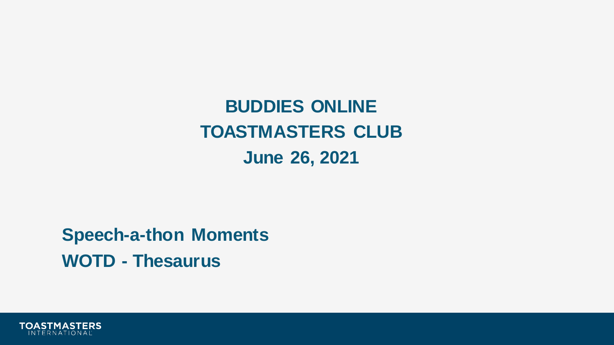**BUDDIES ONLINE TOASTMASTERS CLUB June 26, 2021** 

**Speech-a-thon Moments WOTD - Thesaurus**

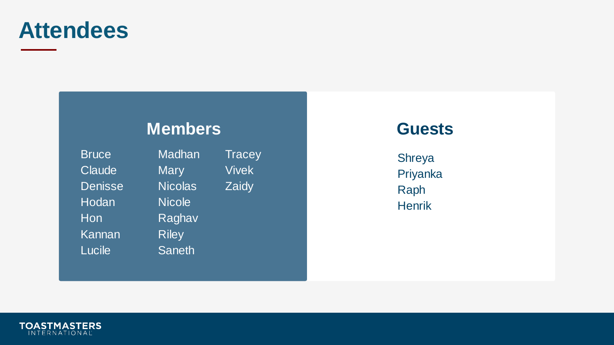## **Attendees**

### **Members**

Bruce Madhan Tracey Claude Mary Vivek Denisse Nicolas Zaidy Hodan Nicole Hon Raghav Kannan Riley Lucile Saneth

### **Guests**

Shreya Priyanka Raph **Henrik** 

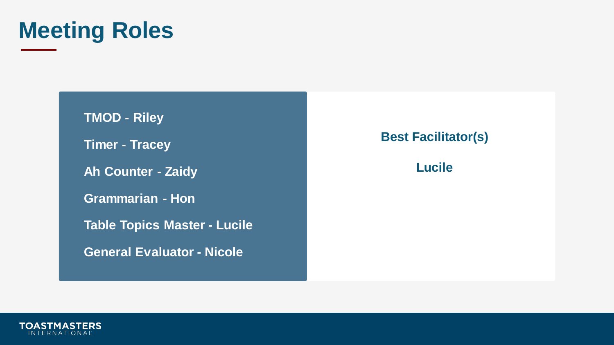

**TMOD - Riley Timer - Tracey Ah Counter - Zaidy Grammarian - Hon Table Topics Master - Lucile General Evaluator - Nicole**

**Best Facilitator(s)**

#### **Lucile**

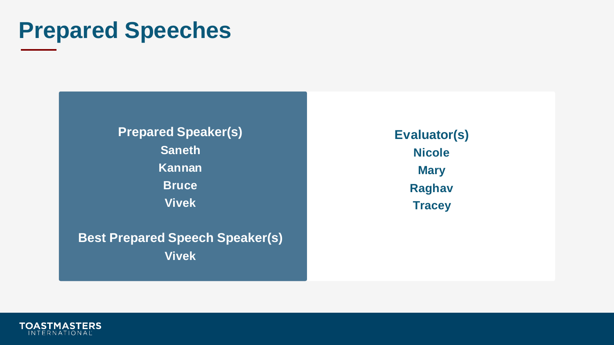## **Prepared Speeches**

**Prepared Speaker(s) Saneth Kannan Bruce Vivek**

**Best Prepared Speech Speaker(s) Vivek**

**Evaluator(s) Nicole Mary Raghav Tracey**

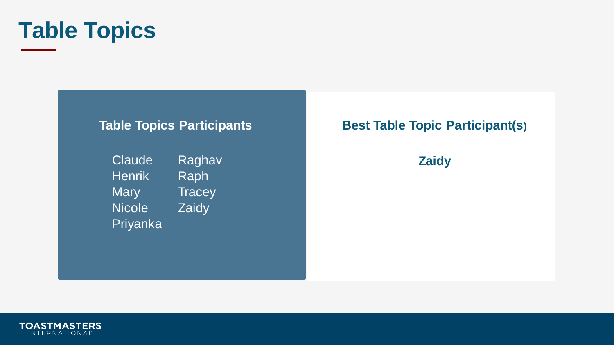

#### **Table Topics Participants**

Claude Raghav Henrik Raph Mary Tracey Nicole **Zaidy** Priyanka

### **Best Table Topic Participant(s)**

**Zaidy**

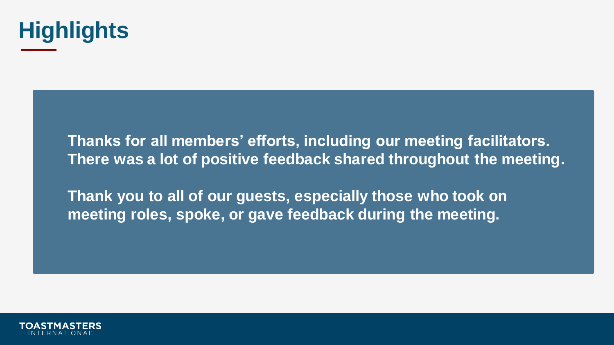

**Thanks for all members' efforts, including our meeting facilitators. There was a lot of positive feedback shared throughout the meeting.**

**Thank you to all of our guests, especially those who took on meeting roles, spoke, or gave feedback during the meeting.**

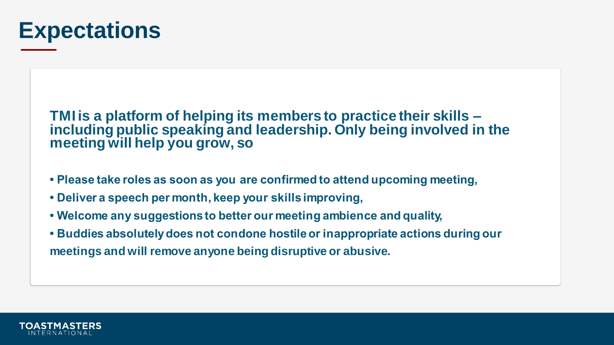

**TMI is a platform of helping its members to practice their skills – including public speaking and leadership. Only being involved in the meeting will help you grow, so** 

- **Please take roles as soon as you are confirmed to attend upcoming meeting,**
- **Deliver a speech per month, keep your skills improving,**
- **Welcome any suggestions to better our meeting ambience and quality,**
- **Buddies absolutely does not condone hostile or inappropriate actions during our meetings and will remove anyone being disruptive or abusive.**